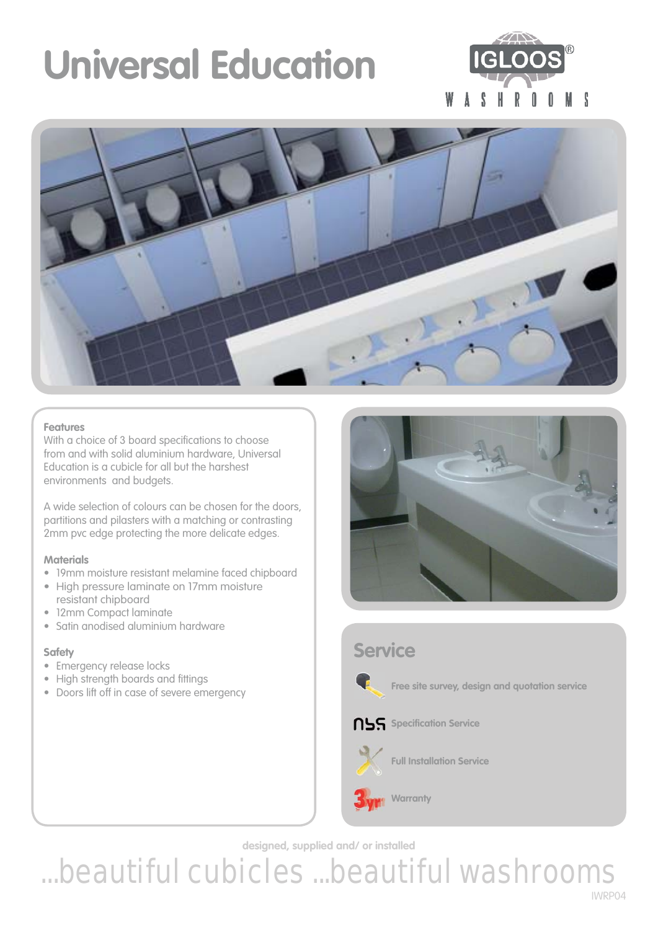# **Universal Education**





### **Features**

With a choice of 3 board specifications to choose from and with solid aluminium hardware, Universal Education is a cubicle for all but the harshest environments and budgets.

A wide selection of colours can be chosen for the doors, partitions and pilasters with a matching or contrasting 2mm pvc edge protecting the more delicate edges.

### **Materials**

- 19mm moisture resistant melamine faced chipboard
- High pressure laminate on 17mm moisture resistant chipboard
- 12mm Compact laminate
- Satin anodised aluminium hardware

### **Safety**

- Emergency release locks
- High strength boards and fittings
- Doors lift off in case of severe emergency



# **Service**



**Free site survey, design and quotation service** 

### **NSS** Specification Service

**Warranty** 



**Full Installation Service**

**designed, supplied and/ or installed**

...beautiful cubicles ...beautiful washrooms IWRP04